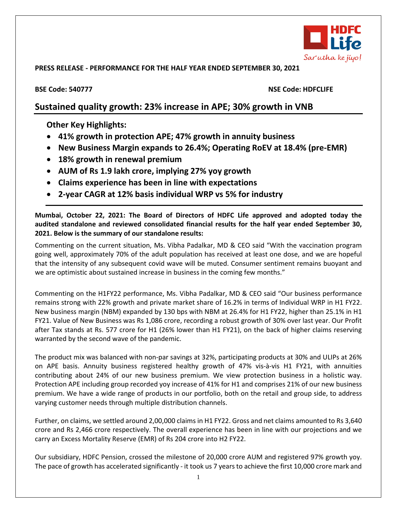

## **PRESS RELEASE - PERFORMANCE FOR THE HALF YEAR ENDED SEPTEMBER 30, 2021**

## **BSE Code: 540777 NSE Code: HDFCLIFE**

# **Sustained quality growth: 23% increase in APE; 30% growth in VNB**

# **Other Key Highlights:**

- **41% growth in protection APE; 47% growth in annuity business**
- **New Business Margin expands to 26.4%; Operating RoEV at 18.4% (pre-EMR)**
- **18% growth in renewal premium**
- **AUM of Rs 1.9 lakh crore, implying 27% yoy growth**
- **Claims experience has been in line with expectations**
- **2-year CAGR at 12% basis individual WRP vs 5% for industry**

**Mumbai, October 22, 2021: The Board of Directors of HDFC Life approved and adopted today the audited standalone and reviewed consolidated financial results for the half year ended September 30, 2021. Below is the summary of our standalone results:**

Commenting on the current situation, Ms. Vibha Padalkar, MD & CEO said "With the vaccination program going well, approximately 70% of the adult population has received at least one dose, and we are hopeful that the intensity of any subsequent covid wave will be muted. Consumer sentiment remains buoyant and we are optimistic about sustained increase in business in the coming few months."

Commenting on the H1FY22 performance, Ms. Vibha Padalkar, MD & CEO said "Our business performance remains strong with 22% growth and private market share of 16.2% in terms of Individual WRP in H1 FY22. New business margin (NBM) expanded by 130 bps with NBM at 26.4% for H1 FY22, higher than 25.1% in H1 FY21. Value of New Business was Rs 1,086 crore, recording a robust growth of 30% over last year. Our Profit after Tax stands at Rs. 577 crore for H1 (26% lower than H1 FY21), on the back of higher claims reserving warranted by the second wave of the pandemic.

The product mix was balanced with non-par savings at 32%, participating products at 30% and ULIPs at 26% on APE basis. Annuity business registered healthy growth of 47% vis-à-vis H1 FY21, with annuities contributing about 24% of our new business premium. We view protection business in a holistic way. Protection APE including group recorded yoy increase of 41% for H1 and comprises 21% of our new business premium. We have a wide range of products in our portfolio, both on the retail and group side, to address varying customer needs through multiple distribution channels.

Further, on claims, we settled around 2,00,000 claims in H1 FY22. Gross and net claims amounted to Rs 3,640 crore and Rs 2,466 crore respectively. The overall experience has been in line with our projections and we carry an Excess Mortality Reserve (EMR) of Rs 204 crore into H2 FY22.

Our subsidiary, HDFC Pension, crossed the milestone of 20,000 crore AUM and registered 97% growth yoy. The pace of growth has accelerated significantly - it took us 7 years to achieve the first 10,000 crore mark and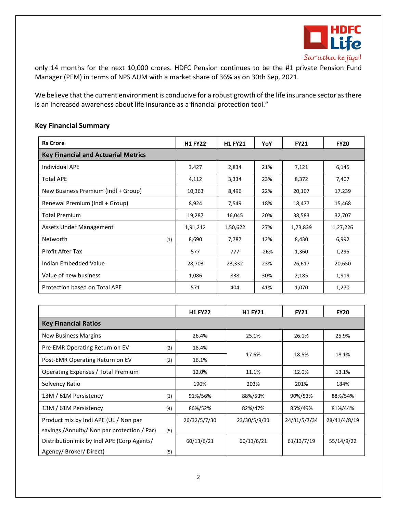

only 14 months for the next 10,000 crores. HDFC Pension continues to be the #1 private Pension Fund Manager (PFM) in terms of NPS AUM with a market share of 36% as on 30th Sep, 2021.

We believe that the current environment is conducive for a robust growth of the life insurance sector as there is an increased awareness about life insurance as a financial protection tool."

| <b>Rs Crore</b>                            | <b>H1 FY22</b> | <b>H1 FY21</b> | YoY    | <b>FY21</b> | <b>FY20</b> |  |  |  |  |
|--------------------------------------------|----------------|----------------|--------|-------------|-------------|--|--|--|--|
| <b>Key Financial and Actuarial Metrics</b> |                |                |        |             |             |  |  |  |  |
| Individual APE                             | 3,427          | 2,834          | 21%    | 7,121       | 6,145       |  |  |  |  |
| <b>Total APE</b>                           | 4,112          | 3,334          | 23%    | 8,372       | 7,407       |  |  |  |  |
| New Business Premium (Indl + Group)        | 10,363         | 8,496          | 22%    | 20,107      | 17,239      |  |  |  |  |
| Renewal Premium (Indl + Group)             | 8,924          | 7,549          | 18%    | 18,477      | 15,468      |  |  |  |  |
| <b>Total Premium</b>                       | 19,287         | 16,045         | 20%    | 38,583      | 32,707      |  |  |  |  |
| <b>Assets Under Management</b>             | 1,91,212       | 1,50,622       | 27%    | 1,73,839    | 1,27,226    |  |  |  |  |
| Networth<br>(1)                            | 8,690          | 7,787          | 12%    | 8,430       | 6,992       |  |  |  |  |
| Profit After Tax                           | 577            | 777            | $-26%$ | 1,360       | 1,295       |  |  |  |  |
| Indian Embedded Value                      | 28,703         | 23,332         | 23%    | 26,617      | 20,650      |  |  |  |  |
| Value of new business                      | 1,086          | 838            | 30%    | 2,185       | 1,919       |  |  |  |  |
| Protection based on Total APE              | 571            | 404            | 41%    | 1,070       | 1,270       |  |  |  |  |

## **Key Financial Summary**

|                                             |     | <b>H1 FY22</b> | <b>H1 FY21</b> | <b>FY21</b>  | <b>FY20</b>  |  |  |  |  |
|---------------------------------------------|-----|----------------|----------------|--------------|--------------|--|--|--|--|
| <b>Key Financial Ratios</b>                 |     |                |                |              |              |  |  |  |  |
| <b>New Business Margins</b>                 |     | 26.4%          | 25.1%          | 26.1%        | 25.9%        |  |  |  |  |
| Pre-EMR Operating Return on EV              | (2) | 18.4%          |                | 18.5%        | 18.1%        |  |  |  |  |
| Post-EMR Operating Return on EV             | (2) | 16.1%          | 17.6%          |              |              |  |  |  |  |
| Operating Expenses / Total Premium          |     | 12.0%          | 11.1%          | 12.0%        | 13.1%        |  |  |  |  |
| Solvency Ratio                              |     | 190%           | 203%           | 201%         | 184%         |  |  |  |  |
| 13M / 61M Persistency                       | (3) | 91%/56%        | 88%/53%        | 90%/53%      | 88%/54%      |  |  |  |  |
| 13M / 61M Persistency                       | (4) | 86%/52%        | 82%/47%        | 85%/49%      | 81%/44%      |  |  |  |  |
| Product mix by Indl APE (UL / Non par       |     | 26/32/5/7/30   | 23/30/5/9/33   | 24/31/5/7/34 | 28/41/4/8/19 |  |  |  |  |
| savings /Annuity/ Non par protection / Par) | (5) |                |                |              |              |  |  |  |  |
| Distribution mix by Indl APE (Corp Agents/  |     | 60/13/6/21     | 60/13/6/21     | 61/13/7/19   | 55/14/9/22   |  |  |  |  |
| Agency/ Broker/ Direct)                     | (5) |                |                |              |              |  |  |  |  |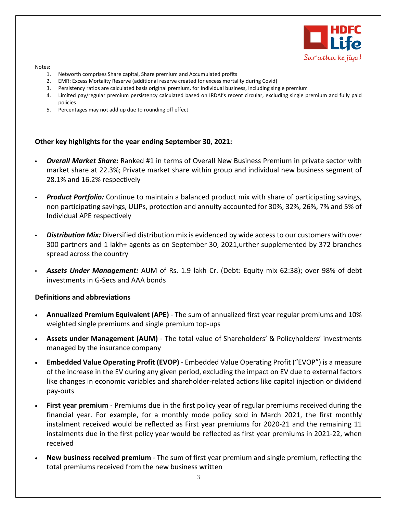

#### Notes:

- 1. Networth comprises Share capital, Share premium and Accumulated profits
- 2. EMR: Excess Mortality Reserve (additional reserve created for excess mortality during Covid)
- 3. Persistency ratios are calculated basis original premium, for Individual business, including single premium
- 4. Limited pay/regular premium persistency calculated based on IRDAI's recent circular, excluding single premium and fully paid policies
- 5. Percentages may not add up due to rounding off effect

### **Other key highlights for the year ending September 30, 2021:**

- *Overall Market Share:* Ranked #1 in terms of Overall New Business Premium in private sector with market share at 22.3%; Private market share within group and individual new business segment of 28.1% and 16.2% respectively
- *Product Portfolio:* Continue to maintain a balanced product mix with share of participating savings, non participating savings, ULIPs, protection and annuity accounted for 30%, 32%, 26%, 7% and 5% of Individual APE respectively
- *Distribution Mix:* Diversified distribution mix is evidenced by wide access to our customers with over 300 partners and 1 lakh+ agents as on September 30, 2021,urther supplemented by 372 branches spread across the country
- *Assets Under Management:* AUM of Rs. 1.9 lakh Cr. (Debt: Equity mix 62:38); over 98% of debt investments in G-Secs and AAA bonds

### **Definitions and abbreviations**

- **Annualized Premium Equivalent (APE)** The sum of annualized first year regular premiums and 10% weighted single premiums and single premium top-ups
- **Assets under Management (AUM)** The total value of Shareholders' & Policyholders' investments managed by the insurance company
- **Embedded Value Operating Profit (EVOP)** Embedded Value Operating Profit ("EVOP") is a measure of the increase in the EV during any given period, excluding the impact on EV due to external factors like changes in economic variables and shareholder-related actions like capital injection or dividend pay-outs
- **First year premium** Premiums due in the first policy year of regular premiums received during the financial year. For example, for a monthly mode policy sold in March 2021, the first monthly instalment received would be reflected as First year premiums for 2020-21 and the remaining 11 instalments due in the first policy year would be reflected as first year premiums in 2021-22, when received
- **New business received premium**  The sum of first year premium and single premium, reflecting the total premiums received from the new business written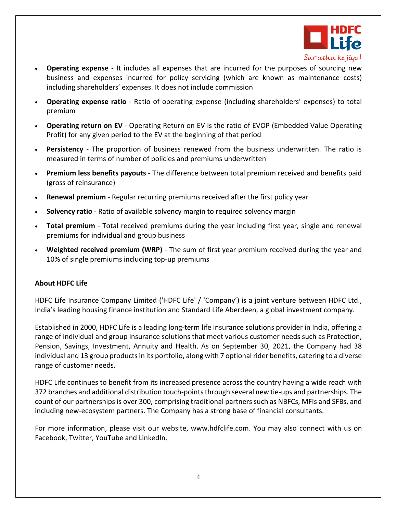

- **Operating expense**  It includes all expenses that are incurred for the purposes of sourcing new business and expenses incurred for policy servicing (which are known as maintenance costs) including shareholders' expenses. It does not include commission
- **Operating expense ratio**  Ratio of operating expense (including shareholders' expenses) to total premium
- **Operating return on EV** Operating Return on EV is the ratio of EVOP (Embedded Value Operating Profit) for any given period to the EV at the beginning of that period
- Persistency The proportion of business renewed from the business underwritten. The ratio is measured in terms of number of policies and premiums underwritten
- **Premium less benefits payouts**  The difference between total premium received and benefits paid (gross of reinsurance)
- **Renewal premium** Regular recurring premiums received after the first policy year
- **Solvency ratio**  Ratio of available solvency margin to required solvency margin
- **Total premium**  Total received premiums during the year including first year, single and renewal premiums for individual and group business
- **Weighted received premium (WRP)**  The sum of first year premium received during the year and 10% of single premiums including top-up premiums

## **About HDFC Life**

HDFC Life Insurance Company Limited ('HDFC Life' / 'Company') is a joint venture between HDFC Ltd., India's leading housing finance institution and Standard Life Aberdeen, a global investment company.

Established in 2000, HDFC Life is a leading long-term life insurance solutions provider in India, offering a range of individual and group insurance solutions that meet various customer needs such as Protection, Pension, Savings, Investment, Annuity and Health. As on September 30, 2021, the Company had 38 individual and 13 group products in its portfolio, along with 7 optional rider benefits, catering to a diverse range of customer needs.

HDFC Life continues to benefit from its increased presence across the country having a wide reach with 372 branches and additional distribution touch-points through several new tie-ups and partnerships. The count of our partnerships is over 300, comprising traditional partners such as NBFCs, MFIs and SFBs, and including new-ecosystem partners. The Company has a strong base of financial consultants.

For more information, please visit our website, [www.hdfclife.com.](http://www.hdfclife.com/) You may also connect with us on [Facebook,](https://www.facebook.com/HDFClife) [Twitter,](https://twitter.com/HDFCLIFE) [YouTube](http://www.youtube.com/hdfclife10) and [LinkedIn](http://www.linkedin.com/csp/ads?f=f300x250_exp_2_3&click=http://ad-apac.doubleclick.net/6k;h=v8/3db9/3/0/*/p;268500133;5-0;0;56697032;4307-300/250;41782963/41800750/1;;%7Eaopt=2/2/26/0;%7Esscs=?cspCrd&c=-56697032&p=1&fk=true&r=419791071).